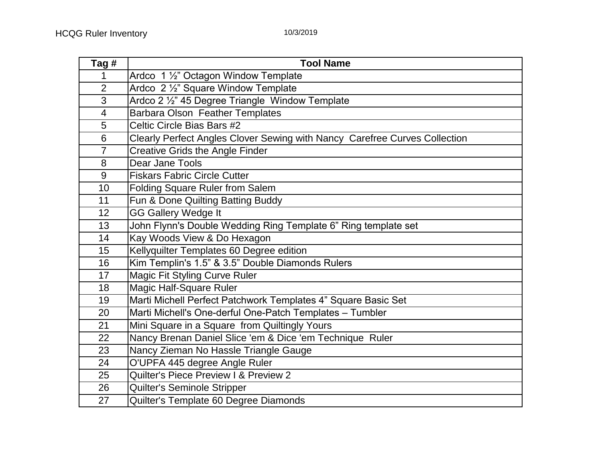| Tag #                    | <b>Tool Name</b>                                                           |
|--------------------------|----------------------------------------------------------------------------|
| 1                        | Ardco 1 1/2" Octagon Window Template                                       |
| $\overline{2}$           | Ardco 2 1/2" Square Window Template                                        |
| $\overline{3}$           | Ardco 2 1/2" 45 Degree Triangle Window Template                            |
| $\overline{\mathcal{A}}$ | Barbara Olson Feather Templates                                            |
| $\overline{5}$           | Celtic Circle Bias Bars #2                                                 |
| 6                        | Clearly Perfect Angles Clover Sewing with Nancy Carefree Curves Collection |
| $\overline{7}$           | <b>Creative Grids the Angle Finder</b>                                     |
| 8                        | Dear Jane Tools                                                            |
| 9                        | <b>Fiskars Fabric Circle Cutter</b>                                        |
| 10                       | <b>Folding Square Ruler from Salem</b>                                     |
| 11                       | Fun & Done Quilting Batting Buddy                                          |
| 12 <sub>2</sub>          | <b>GG Gallery Wedge It</b>                                                 |
| 13                       | John Flynn's Double Wedding Ring Template 6" Ring template set             |
| 14                       | Kay Woods View & Do Hexagon                                                |
| 15                       | Kellyquilter Templates 60 Degree edition                                   |
| 16                       | Kim Templin's 1.5" & 3.5" Double Diamonds Rulers                           |
| 17                       | Magic Fit Styling Curve Ruler                                              |
| 18                       | <b>Magic Half-Square Ruler</b>                                             |
| 19                       | Marti Michell Perfect Patchwork Templates 4" Square Basic Set              |
| 20                       | Marti Michell's One-derful One-Patch Templates - Tumbler                   |
| 21                       | Mini Square in a Square from Quiltingly Yours                              |
| 22                       | Nancy Brenan Daniel Slice 'em & Dice 'em Technique Ruler                   |
| 23                       | Nancy Zieman No Hassle Triangle Gauge                                      |
| 24                       | O'UPFA 445 degree Angle Ruler                                              |
| 25                       | Quilter's Piece Preview I & Preview 2                                      |
| 26                       | Quilter's Seminole Stripper                                                |
| 27                       | Quilter's Template 60 Degree Diamonds                                      |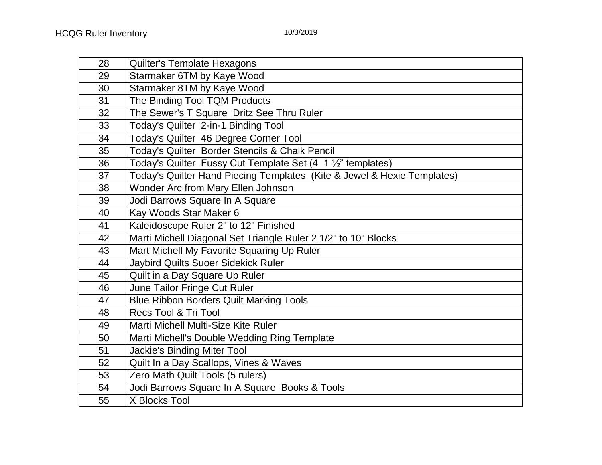| 28 | Quilter's Template Hexagons                                               |
|----|---------------------------------------------------------------------------|
| 29 | Starmaker 6TM by Kaye Wood                                                |
| 30 | Starmaker 8TM by Kaye Wood                                                |
| 31 | The Binding Tool TQM Products                                             |
| 32 | The Sewer's T Square Dritz See Thru Ruler                                 |
| 33 | Today's Quilter 2-in-1 Binding Tool                                       |
| 34 | Today's Quilter 46 Degree Corner Tool                                     |
| 35 | Today's Quilter Border Stencils & Chalk Pencil                            |
| 36 | Today's Quilter Fussy Cut Template Set $(4 \ 1 \frac{1}{2})$ " templates) |
| 37 | Today's Quilter Hand Piecing Templates (Kite & Jewel & Hexie Templates)   |
| 38 | Wonder Arc from Mary Ellen Johnson                                        |
| 39 | Jodi Barrows Square In A Square                                           |
| 40 | Kay Woods Star Maker 6                                                    |
| 41 | Kaleidoscope Ruler 2" to 12" Finished                                     |
| 42 | Marti Michell Diagonal Set Triangle Ruler 2 1/2" to 10" Blocks            |
| 43 | Mart Michell My Favorite Squaring Up Ruler                                |
| 44 | Jaybird Quilts Suoer Sidekick Ruler                                       |
| 45 | Quilt in a Day Square Up Ruler                                            |
| 46 | June Tailor Fringe Cut Ruler                                              |
| 47 | <b>Blue Ribbon Borders Quilt Marking Tools</b>                            |
| 48 | Recs Tool & Tri Tool                                                      |
| 49 | Marti Michell Multi-Size Kite Ruler                                       |
| 50 | Marti Michell's Double Wedding Ring Template                              |
| 51 | <b>Jackie's Binding Miter Tool</b>                                        |
| 52 | Quilt In a Day Scallops, Vines & Waves                                    |
| 53 | Zero Math Quilt Tools (5 rulers)                                          |
| 54 | Jodi Barrows Square In A Square Books & Tools                             |
| 55 | X Blocks Tool                                                             |